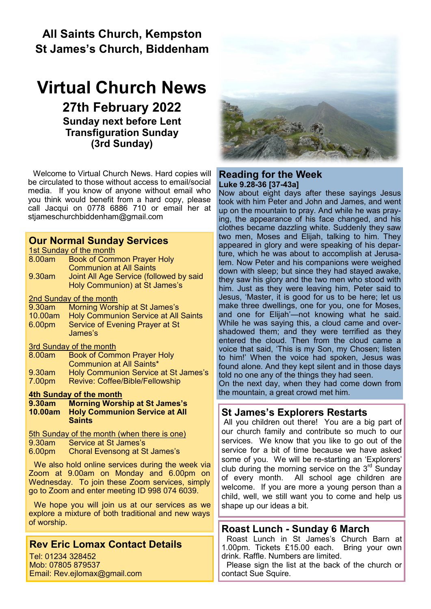# **All Saints Church, Kempston St James's Church, Biddenham**

# **Virtual Church News 27th February 2022 Sunday next before Lent Transfiguration Sunday (3rd Sunday)**

Welcome to Virtual Church News. Hard copies will be circulated to those without access to email/social media. If you know of anyone without email who you think would benefit from a hard copy, please call Jacqui on 0778 6886 710 or email her at [stjameschurchbiddenham@gmail.com](mailto:Jacqui.piper@btinternet.com) 

#### **Our Normal Sunday Services**

1st Sunday of the month

| 8.00am                  | <b>Book of Common Prayer Holy</b>           |
|-------------------------|---------------------------------------------|
|                         | <b>Communion at All Saints</b>              |
| 9.30am                  | Joint All Age Service (followed by said     |
|                         | Holy Communion) at St James's               |
| 2nd Sunday of the month |                                             |
| 9.30am                  | Morning Worship at St James's               |
| 10.00am                 | <b>Holy Communion Service at All Saints</b> |
| 6.00pm                  | Service of Evening Prayer at St             |
|                         | James's                                     |

3rd Sunday of the month

| 8.00am | <b>Book of Common Prayer Holy</b>    |
|--------|--------------------------------------|
|        | Communion at All Saints*             |
| 9.30am | Holy Communion Service at St James's |
| 7.00pm | Revive: Coffee/Bible/Fellowship      |

#### **4th Sunday of the month**

**9.30am Morning Worship at St James's 10.00am Holy Communion Service at All Saints**

5th Sunday of the month (when there is one)<br>9.30am Service at St James's

- 9.30am Service at St James's<br>6.00pm Choral Evensong at St
- **Choral Evensong at St James's**

We also hold online services during the week via Zoom at 9.00am on Monday and 6.00pm on Wednesday. To join these Zoom services, simply go to Zoom and enter meeting ID 998 074 6039.

We hope you will join us at our services as we explore a mixture of both traditional and new ways of worship.

# **Rev Eric Lomax Contact Details**

Tel: 01234 328452 Mob: 07805 879537 Email: Rev.ejlomax@gmail.com



#### **Reading for the Week Luke 9.28-36 [37-43a]**

Now about eight days after these sayings Jesus took with him Peter and John and James, and went up on the mountain to pray. And while he was praying, the appearance of his face changed, and his clothes became dazzling white. Suddenly they saw two men, Moses and Elijah, talking to him. They appeared in glory and were speaking of his departure, which he was about to accomplish at Jerusalem. Now Peter and his companions were weighed down with sleep; but since they had stayed awake, they saw his glory and the two men who stood with him. Just as they were leaving him, Peter said to Jesus, 'Master, it is good for us to be here; let us make three dwellings, one for you, one for Moses, and one for Elijah'—not knowing what he said. While he was saying this, a cloud came and overshadowed them; and they were terrified as they entered the cloud. Then from the cloud came a voice that said, 'This is my Son, my Chosen; listen to him!' When the voice had spoken, Jesus was found alone. And they kept silent and in those days told no one any of the things they had seen.

On the next day, when they had come down from the mountain, a great crowd met him.

# **St James's Explorers Restarts**

All you children out there! You are a big part of our church family and contribute so much to our services. We know that you like to go out of the service for a bit of time because we have asked some of you. We will be re-starting an 'Explorers' club during the morning service on the  $3<sup>rd</sup>$  Sunday of every month. All school age children are welcome. If you are more a young person than a child, well, we still want you to come and help us shape up our ideas a bit.

# **Roast Lunch - Sunday 6 March**

Roast Lunch in St James's Church Barn at 1.00pm. Tickets £15.00 each. Bring your own drink. Raffle. Numbers are limited.

Please sign the list at the back of the church or contact Sue Squire.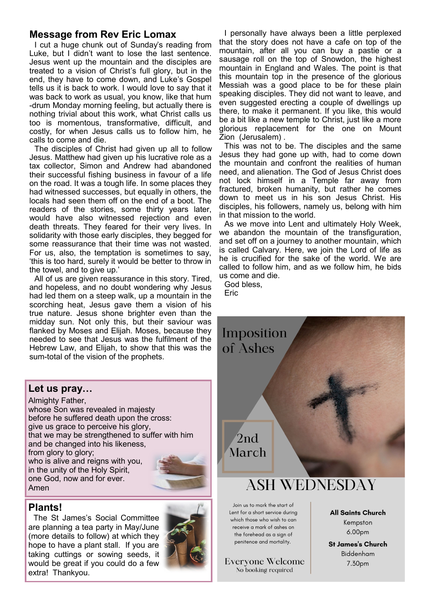### **Message from Rev Eric Lomax**

I cut a huge chunk out of Sunday's reading from Luke, but I didn't want to lose the last sentence. Jesus went up the mountain and the disciples are treated to a vision of Christ's full glory, but in the end, they have to come down, and Luke's Gospel tells us it is back to work. I would love to say that it was back to work as usual, you know, like that hum -drum Monday morning feeling, but actually there is nothing trivial about this work, what Christ calls us too is momentous, transformative, difficult, and costly, for when Jesus calls us to follow him, he calls to come and die.

The disciples of Christ had given up all to follow Jesus. Matthew had given up his lucrative role as a tax collector, Simon and Andrew had abandoned their successful fishing business in favour of a life on the road. It was a tough life. In some places they had witnessed successes, but equally in others, the locals had seen them off on the end of a boot. The readers of the stories, some thirty years later, would have also witnessed rejection and even death threats. They feared for their very lives. In solidarity with those early disciples, they begged for some reassurance that their time was not wasted. For us, also, the temptation is sometimes to say, 'this is too hard, surely it would be better to throw in the towel, and to give up.'

All of us are given reassurance in this story. Tired, and hopeless, and no doubt wondering why Jesus had led them on a steep walk, up a mountain in the scorching heat, Jesus gave them a vision of his true nature. Jesus shone brighter even than the midday sun. Not only this, but their saviour was flanked by Moses and Elijah. Moses, because they needed to see that Jesus was the fulfilment of the Hebrew Law, and Elijah, to show that this was the sum-total of the vision of the prophets.

#### I personally have always been a little perplexed that the story does not have a cafe on top of the mountain, after all you can buy a pastie or a sausage roll on the top of Snowdon, the highest mountain in England and Wales. The point is that this mountain top in the presence of the glorious Messiah was a good place to be for these plain speaking disciples. They did not want to leave, and even suggested erecting a couple of dwellings up there, to make it permanent. If you like, this would be a bit like a new temple to Christ, just like a more glorious replacement for the one on Mount Zion (Jerusalem) .

This was not to be. The disciples and the same Jesus they had gone up with, had to come down the mountain and confront the realities of human need, and alienation. The God of Jesus Christ does not lock himself in a Temple far away from fractured, broken humanity, but rather he comes down to meet us in his son Jesus Christ. His disciples, his followers, namely us, belong with him in that mission to the world.

As we move into Lent and ultimately Holy Week, we abandon the mountain of the transfiguration, and set off on a journey to another mountain, which is called Calvary. Here, we join the Lord of life as he is crucified for the sake of the world. We are called to follow him, and as we follow him, he bids us come and die.

God bless, Eric

Imposition

of Ashes

 $2nd$ 

March



Almighty Father, whose Son was revealed in majesty before he suffered death upon the cross: give us grace to perceive his glory, that we may be strengthened to suffer with him and be changed into his likeness, from glory to glory; who is alive and reigns with you, in the unity of the Holy Spirit, one God, now and for ever. Amen



#### **Plants!**

The St James's Social Committee are planning a tea party in May/June (more details to follow) at which they hope to have a plant stall. If you are taking cuttings or sowing seeds, it would be great if you could do a few extra! Thankyou.



# **ASH WEDNESDAY**

Join us to mark the start of Lent for a short service during which those who wish to can receive a mark of ashes on the forehead as a sian of penitence and mortality.

Everyone Welcome No booking required

**All Saints Church** Kempston 6.00pm

**St James's Church** Biddenham 7.30pm